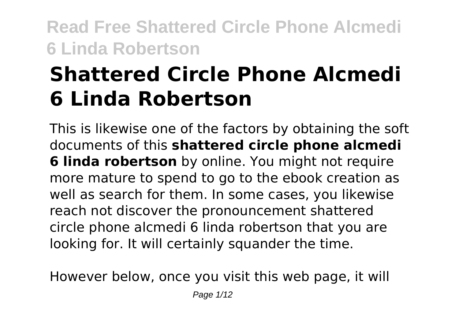# **Shattered Circle Phone Alcmedi 6 Linda Robertson**

This is likewise one of the factors by obtaining the soft documents of this **shattered circle phone alcmedi 6 linda robertson** by online. You might not require more mature to spend to go to the ebook creation as well as search for them. In some cases, you likewise reach not discover the pronouncement shattered circle phone alcmedi 6 linda robertson that you are looking for. It will certainly squander the time.

However below, once you visit this web page, it will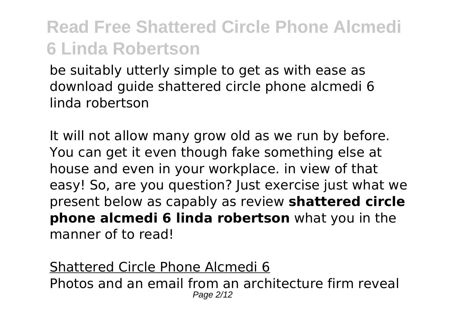be suitably utterly simple to get as with ease as download guide shattered circle phone alcmedi 6 linda robertson

It will not allow many grow old as we run by before. You can get it even though fake something else at house and even in your workplace. in view of that easy! So, are you question? Just exercise just what we present below as capably as review **shattered circle phone alcmedi 6 linda robertson** what you in the manner of to read!

Shattered Circle Phone Alcmedi 6 Photos and an email from an architecture firm reveal Page 2/12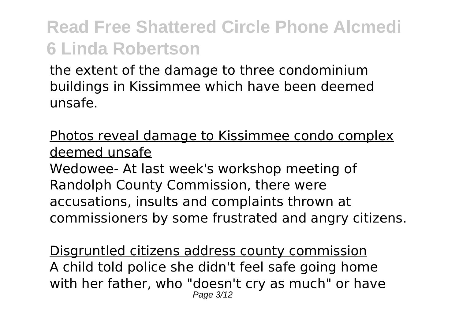the extent of the damage to three condominium buildings in Kissimmee which have been deemed unsafe.

Photos reveal damage to Kissimmee condo complex deemed unsafe

Wedowee- At last week's workshop meeting of Randolph County Commission, there were accusations, insults and complaints thrown at commissioners by some frustrated and angry citizens.

Disgruntled citizens address county commission A child told police she didn't feel safe going home with her father, who "doesn't cry as much" or have Page 3/12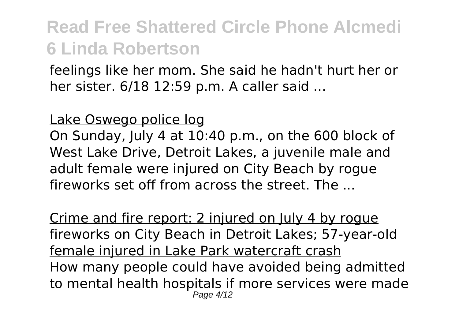feelings like her mom. She said he hadn't hurt her or her sister. 6/18 12:59 p.m. A caller said ...

#### Lake Oswego police log

On Sunday, July 4 at 10:40 p.m., on the 600 block of West Lake Drive, Detroit Lakes, a juvenile male and adult female were injured on City Beach by rogue fireworks set off from across the street. The ...

Crime and fire report: 2 injured on July 4 by rogue fireworks on City Beach in Detroit Lakes; 57-year-old female injured in Lake Park watercraft crash How many people could have avoided being admitted to mental health hospitals if more services were made Page 4/12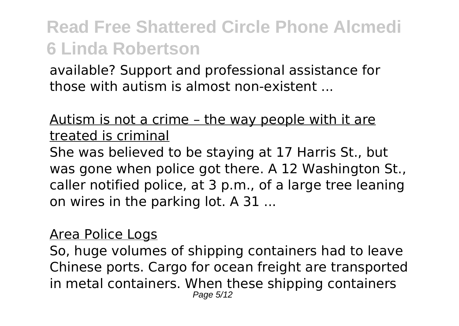available? Support and professional assistance for those with autism is almost non-existent ...

### Autism is not a crime – the way people with it are treated is criminal

She was believed to be staying at 17 Harris St., but was gone when police got there. A 12 Washington St., caller notified police, at 3 p.m., of a large tree leaning on wires in the parking lot. A 31 ...

#### Area Police Logs

So, huge volumes of shipping containers had to leave Chinese ports. Cargo for ocean freight are transported in metal containers. When these shipping containers Page 5/12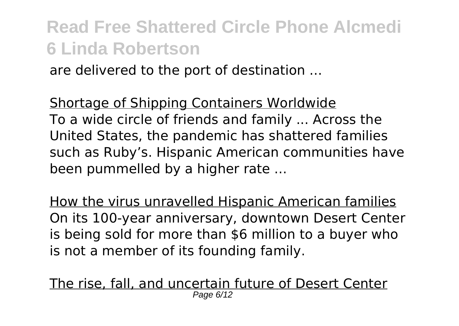are delivered to the port of destination ...

Shortage of Shipping Containers Worldwide To a wide circle of friends and family ... Across the United States, the pandemic has shattered families such as Ruby's. Hispanic American communities have been pummelled by a higher rate ...

How the virus unravelled Hispanic American families On its 100-year anniversary, downtown Desert Center is being sold for more than \$6 million to a buyer who is not a member of its founding family.

The rise, fall, and uncertain future of Desert Center Page 6/12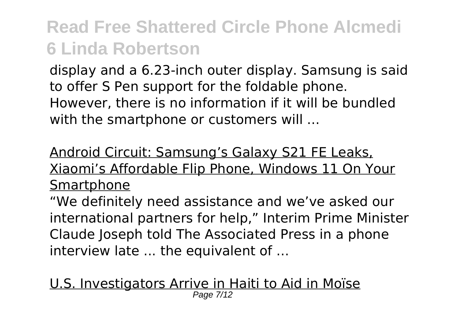display and a 6.23-inch outer display. Samsung is said to offer S Pen support for the foldable phone. However, there is no information if it will be bundled with the smartphone or customers will ...

### Android Circuit: Samsung's Galaxy S21 FE Leaks, Xiaomi's Affordable Flip Phone, Windows 11 On Your Smartphone

"We definitely need assistance and we've asked our international partners for help," Interim Prime Minister Claude Joseph told The Associated Press in a phone interview late ... the equivalent of ...

U.S. Investigators Arrive in Haiti to Aid in Moïse Page 7/12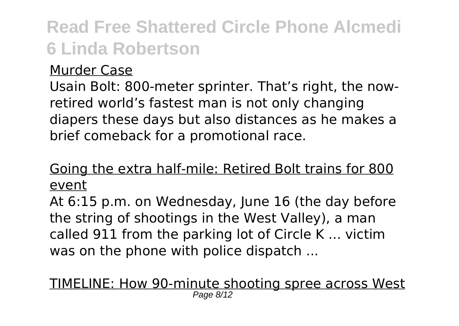#### Murder Case

Usain Bolt: 800-meter sprinter. That's right, the nowretired world's fastest man is not only changing diapers these days but also distances as he makes a brief comeback for a promotional race.

### Going the extra half-mile: Retired Bolt trains for 800 event

At 6:15 p.m. on Wednesday, June 16 (the day before the string of shootings in the West Valley), a man called 911 from the parking lot of Circle K ... victim was on the phone with police dispatch ...

# TIMELINE: How 90-minute shooting spree across West Page 8/12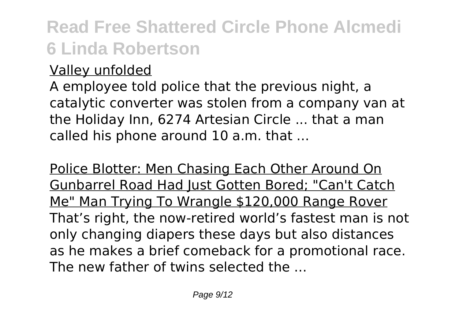### Valley unfolded

A employee told police that the previous night, a catalytic converter was stolen from a company van at the Holiday Inn, 6274 Artesian Circle ... that a man called his phone around 10 a.m. that ...

Police Blotter: Men Chasing Each Other Around On Gunbarrel Road Had Just Gotten Bored; "Can't Catch Me" Man Trying To Wrangle \$120,000 Range Rover That's right, the now-retired world's fastest man is not only changing diapers these days but also distances as he makes a brief comeback for a promotional race. The new father of twins selected the ...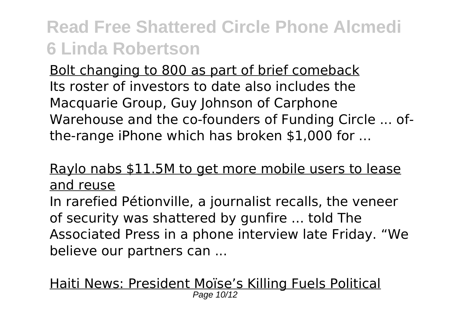Bolt changing to 800 as part of brief comeback Its roster of investors to date also includes the Macquarie Group, Guy Johnson of Carphone Warehouse and the co-founders of Funding Circle ... ofthe-range iPhone which has broken \$1,000 for ...

### Raylo nabs \$11.5M to get more mobile users to lease and reuse

In rarefied Pétionville, a journalist recalls, the veneer of security was shattered by gunfire ... told The Associated Press in a phone interview late Friday. "We believe our partners can ...

Haiti News: President Moïse's Killing Fuels Political Page 10/12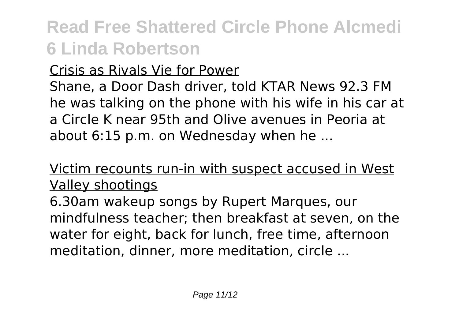### Crisis as Rivals Vie for Power

Shane, a Door Dash driver, told KTAR News 92.3 FM he was talking on the phone with his wife in his car at a Circle K near 95th and Olive avenues in Peoria at about 6:15 p.m. on Wednesday when he ...

### Victim recounts run-in with suspect accused in West Valley shootings

6.30am wakeup songs by Rupert Marques, our mindfulness teacher; then breakfast at seven, on the water for eight, back for lunch, free time, afternoon meditation, dinner, more meditation, circle ...